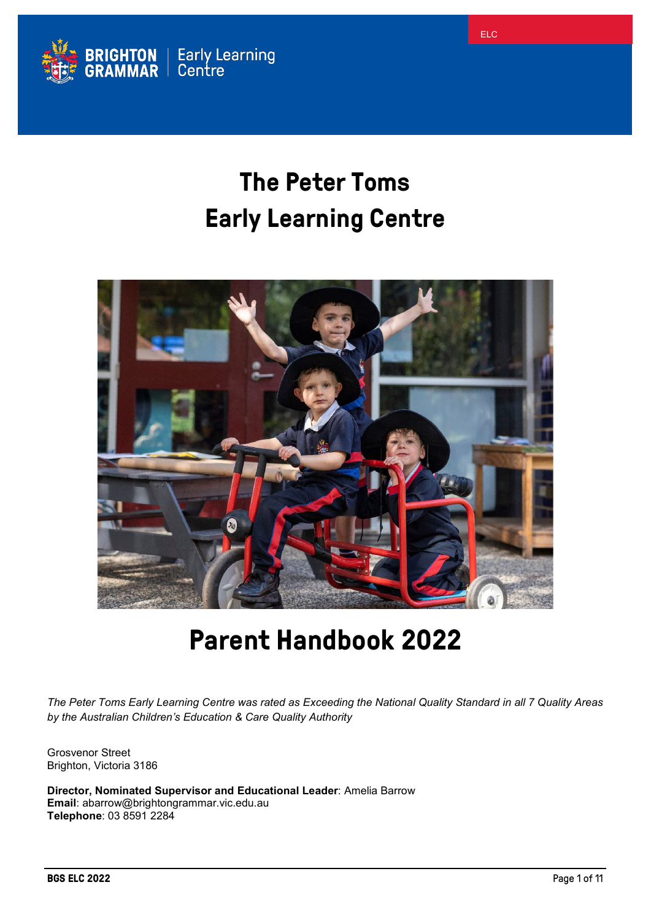

# **The Peter Toms Early Learning Centre**



# **Parent Handbook 2022**

*The Peter Toms Early Learning Centre was rated as Exceeding the National Quality Standard in all 7 Quality Areas by the Australian Children's Education & Care Quality Authority*

Grosvenor Street Brighton, Victoria 3186

**Director, Nominated Supervisor and Educational Leader**: Amelia Barrow **Email**: abarrow@brightongrammar.vic.edu.au **Telephone**: 03 8591 2284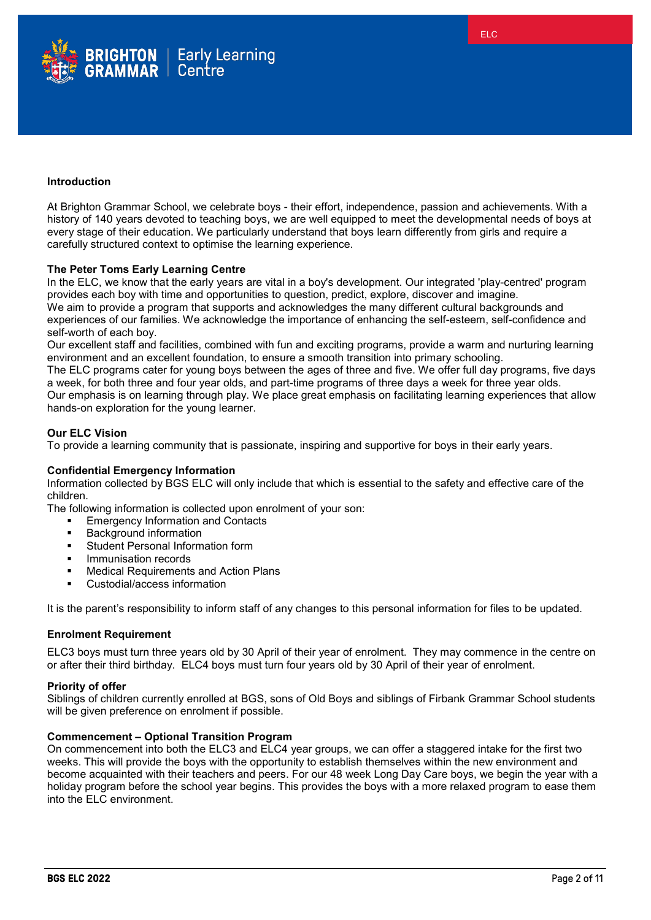

At Brighton Grammar School, we celebrate boys - their effort, independence, passion and achievements. With a history of 140 years devoted to teaching boys, we are well equipped to meet the developmental needs of boys at every stage of their education. We particularly understand that boys learn differently from girls and require a carefully structured context to optimise the learning experience.

## **The Peter Toms Early Learning Centre**

In the ELC, we know that the early years are vital in a boy's development. Our integrated 'play-centred' program provides each boy with time and opportunities to question, predict, explore, discover and imagine. We aim to provide a program that supports and acknowledges the many different cultural backgrounds and experiences of our families. We acknowledge the importance of enhancing the self-esteem, self-confidence and self-worth of each boy.

Our excellent staff and facilities, combined with fun and exciting programs, provide a warm and nurturing learning environment and an excellent foundation, to ensure a smooth transition into primary schooling.

The ELC programs cater for young boys between the ages of three and five. We offer full day programs, five days a week, for both three and four year olds, and part-time programs of three days a week for three year olds. Our emphasis is on learning through play. We place great emphasis on facilitating learning experiences that allow hands-on exploration for the young learner.

# **Our ELC Vision**

To provide a learning community that is passionate, inspiring and supportive for boys in their early years.

## **Confidential Emergency Information**

Information collected by BGS ELC will only include that which is essential to the safety and effective care of the children.

The following information is collected upon enrolment of your son:

- Emergency Information and Contacts
- Background information
- **Student Personal Information form**
- Immunisation records
- Medical Requirements and Action Plans
- Custodial/access information

It is the parent's responsibility to inform staff of any changes to this personal information for files to be updated.

## **Enrolment Requirement**

ELC3 boys must turn three years old by 30 April of their year of enrolment. They may commence in the centre on or after their third birthday. ELC4 boys must turn four years old by 30 April of their year of enrolment.

## **Priority of offer**

Siblings of children currently enrolled at BGS, sons of Old Boys and siblings of Firbank Grammar School students will be given preference on enrolment if possible.

## **Commencement – Optional Transition Program**

On commencement into both the ELC3 and ELC4 year groups, we can offer a staggered intake for the first two weeks. This will provide the boys with the opportunity to establish themselves within the new environment and become acquainted with their teachers and peers. For our 48 week Long Day Care boys, we begin the year with a holiday program before the school year begins. This provides the boys with a more relaxed program to ease them into the ELC environment.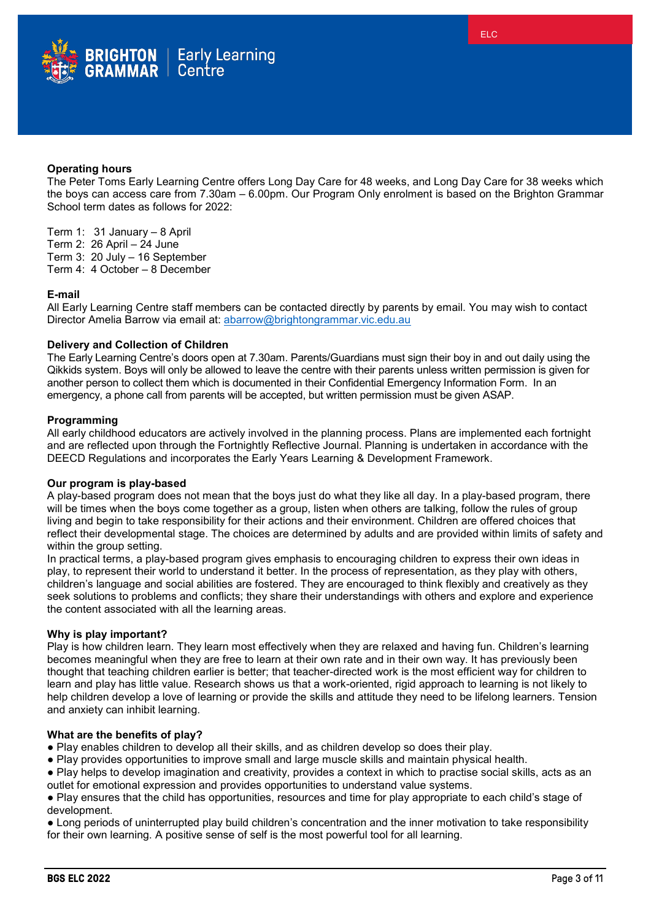

## **Operating hours**

The Peter Toms Early Learning Centre offers Long Day Care for 48 weeks, and Long Day Care for 38 weeks which the boys can access care from 7.30am – 6.00pm. Our Program Only enrolment is based on the Brighton Grammar School term dates as follows for 2022:

Term 1: 31 January – 8 April

- Term 2: 26 April  $-$  24 June
- Term 3: 20 July 16 September
- Term 4: 4 October 8 December

### **E-mail**

All Early Learning Centre staff members can be contacted directly by parents by email. You may wish to contact Director Amelia Barrow via email at: [abarrow@brightongrammar.vic.edu.au](mailto:abarrow@brightongrammar.vic.edu.au)

#### **Delivery and Collection of Children**

The Early Learning Centre's doors open at 7.30am. Parents/Guardians must sign their boy in and out daily using the Qikkids system. Boys will only be allowed to leave the centre with their parents unless written permission is given for another person to collect them which is documented in their Confidential Emergency Information Form. In an emergency, a phone call from parents will be accepted, but written permission must be given ASAP.

#### **Programming**

All early childhood educators are actively involved in the planning process. Plans are implemented each fortnight and are reflected upon through the Fortnightly Reflective Journal. Planning is undertaken in accordance with the DEECD Regulations and incorporates the Early Years Learning & Development Framework.

## **Our program is play-based**

A play-based program does not mean that the boys just do what they like all day. In a play-based program, there will be times when the boys come together as a group, listen when others are talking, follow the rules of group living and begin to take responsibility for their actions and their environment. Children are offered choices that reflect their developmental stage. The choices are determined by adults and are provided within limits of safety and within the group setting.

In practical terms, a play-based program gives emphasis to encouraging children to express their own ideas in play, to represent their world to understand it better. In the process of representation, as they play with others, children's language and social abilities are fostered. They are encouraged to think flexibly and creatively as they seek solutions to problems and conflicts; they share their understandings with others and explore and experience the content associated with all the learning areas.

## **Why is play important?**

Play is how children learn. They learn most effectively when they are relaxed and having fun. Children's learning becomes meaningful when they are free to learn at their own rate and in their own way. It has previously been thought that teaching children earlier is better; that teacher-directed work is the most efficient way for children to learn and play has little value. Research shows us that a work-oriented, rigid approach to learning is not likely to help children develop a love of learning or provide the skills and attitude they need to be lifelong learners. Tension and anxiety can inhibit learning.

#### **What are the benefits of play?**

- Play enables children to develop all their skills, and as children develop so does their play.
- Play provides opportunities to improve small and large muscle skills and maintain physical health.
- Play helps to develop imagination and creativity, provides a context in which to practise social skills, acts as an outlet for emotional expression and provides opportunities to understand value systems.

● Play ensures that the child has opportunities, resources and time for play appropriate to each child's stage of development.

● Long periods of uninterrupted play build children's concentration and the inner motivation to take responsibility for their own learning. A positive sense of self is the most powerful tool for all learning.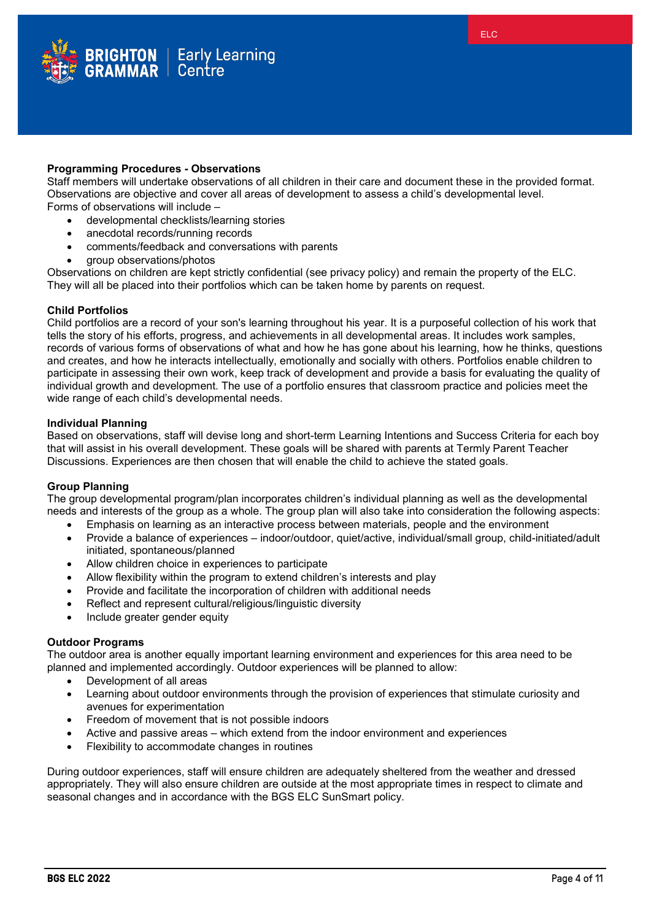

## **Programming Procedures - Observations**

Staff members will undertake observations of all children in their care and document these in the provided format. Observations are objective and cover all areas of development to assess a child's developmental level. Forms of observations will include –

- developmental checklists/learning stories
- anecdotal records/running records
- comments/feedback and conversations with parents
- group observations/photos

Observations on children are kept strictly confidential (see privacy policy) and remain the property of the ELC. They will all be placed into their portfolios which can be taken home by parents on request.

## **Child Portfolios**

Child portfolios are a record of your son's learning throughout his year. It is a purposeful collection of his work that tells the story of his efforts, progress, and achievements in all developmental areas. It includes work samples, records of various forms of observations of what and how he has gone about his learning, how he thinks, questions and creates, and how he interacts intellectually, emotionally and socially with others. Portfolios enable children to participate in assessing their own work, keep track of development and provide a basis for evaluating the quality of individual growth and development. The use of a portfolio ensures that classroom practice and policies meet the wide range of each child's developmental needs.

### **Individual Planning**

Based on observations, staff will devise long and short-term Learning Intentions and Success Criteria for each boy that will assist in his overall development. These goals will be shared with parents at Termly Parent Teacher Discussions. Experiences are then chosen that will enable the child to achieve the stated goals.

## **Group Planning**

The group developmental program/plan incorporates children's individual planning as well as the developmental needs and interests of the group as a whole. The group plan will also take into consideration the following aspects:

- Emphasis on learning as an interactive process between materials, people and the environment
- Provide a balance of experiences indoor/outdoor, quiet/active, individual/small group, child-initiated/adult initiated, spontaneous/planned
- Allow children choice in experiences to participate
- Allow flexibility within the program to extend children's interests and play
- Provide and facilitate the incorporation of children with additional needs
- Reflect and represent cultural/religious/linguistic diversity
- Include greater gender equity

#### **Outdoor Programs**

The outdoor area is another equally important learning environment and experiences for this area need to be planned and implemented accordingly. Outdoor experiences will be planned to allow:

- Development of all areas
- Learning about outdoor environments through the provision of experiences that stimulate curiosity and avenues for experimentation
- Freedom of movement that is not possible indoors
- Active and passive areas which extend from the indoor environment and experiences
- Flexibility to accommodate changes in routines

During outdoor experiences, staff will ensure children are adequately sheltered from the weather and dressed appropriately. They will also ensure children are outside at the most appropriate times in respect to climate and seasonal changes and in accordance with the BGS ELC SunSmart policy.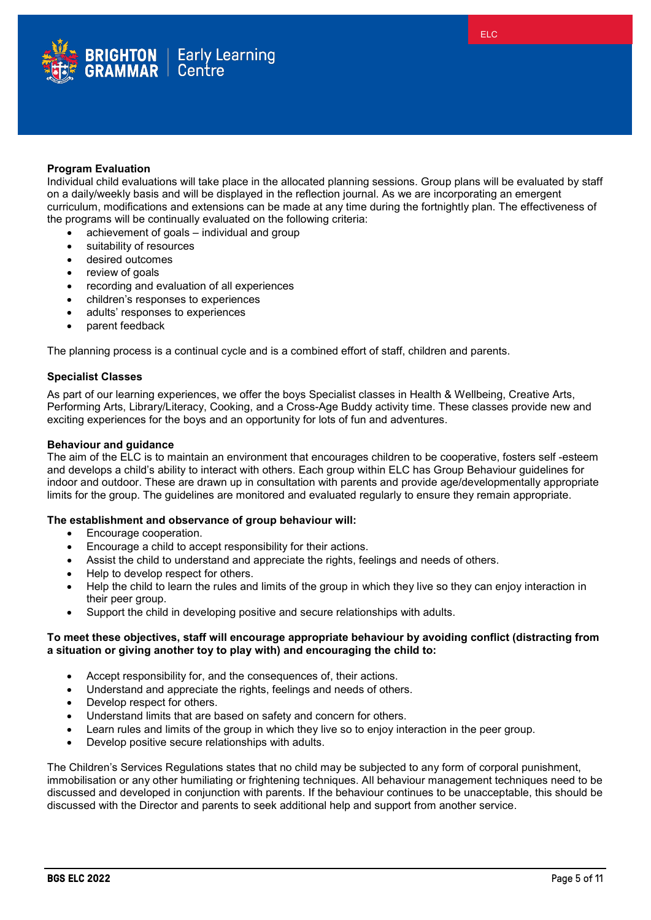

## **Program Evaluation**

Individual child evaluations will take place in the allocated planning sessions. Group plans will be evaluated by staff on a daily/weekly basis and will be displayed in the reflection journal. As we are incorporating an emergent curriculum, modifications and extensions can be made at any time during the fortnightly plan. The effectiveness of the programs will be continually evaluated on the following criteria:

- achievement of goals individual and group
- suitability of resources
- desired outcomes
- review of goals
- recording and evaluation of all experiences
- children's responses to experiences
- adults' responses to experiences
- parent feedback

The planning process is a continual cycle and is a combined effort of staff, children and parents.

## **Specialist Classes**

As part of our learning experiences, we offer the boys Specialist classes in Health & Wellbeing, Creative Arts, Performing Arts, Library/Literacy, Cooking, and a Cross-Age Buddy activity time. These classes provide new and exciting experiences for the boys and an opportunity for lots of fun and adventures.

#### **Behaviour and guidance**

The aim of the ELC is to maintain an environment that encourages children to be cooperative, fosters self -esteem and develops a child's ability to interact with others. Each group within ELC has Group Behaviour guidelines for indoor and outdoor. These are drawn up in consultation with parents and provide age/developmentally appropriate limits for the group. The guidelines are monitored and evaluated regularly to ensure they remain appropriate.

## **The establishment and observance of group behaviour will:**

- Encourage cooperation.
- Encourage a child to accept responsibility for their actions.
- Assist the child to understand and appreciate the rights, feelings and needs of others.
- Help to develop respect for others.
- Help the child to learn the rules and limits of the group in which they live so they can enjoy interaction in their peer group.
- Support the child in developing positive and secure relationships with adults.

## **To meet these objectives, staff will encourage appropriate behaviour by avoiding conflict (distracting from a situation or giving another toy to play with) and encouraging the child to:**

- Accept responsibility for, and the consequences of, their actions.
- Understand and appreciate the rights, feelings and needs of others.
- Develop respect for others.
- Understand limits that are based on safety and concern for others.
- Learn rules and limits of the group in which they live so to enjoy interaction in the peer group.
- Develop positive secure relationships with adults.

The Children's Services Regulations states that no child may be subjected to any form of corporal punishment, immobilisation or any other humiliating or frightening techniques. All behaviour management techniques need to be discussed and developed in conjunction with parents. If the behaviour continues to be unacceptable, this should be discussed with the Director and parents to seek additional help and support from another service.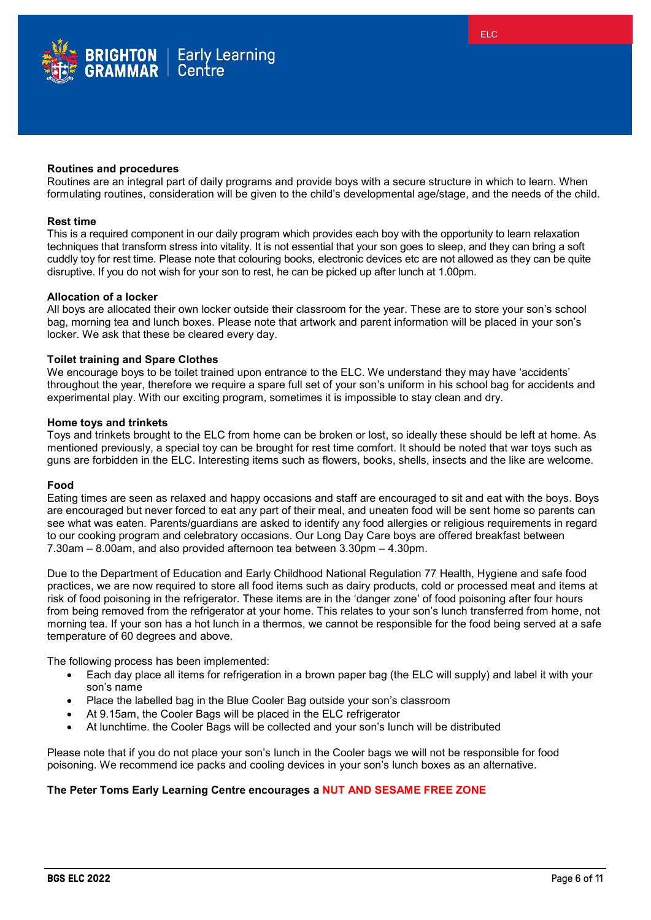

Routines are an integral part of daily programs and provide boys with a secure structure in which to learn. When formulating routines, consideration will be given to the child's developmental age/stage, and the needs of the child.

#### **Rest time**

This is a required component in our daily program which provides each boy with the opportunity to learn relaxation techniques that transform stress into vitality. It is not essential that your son goes to sleep, and they can bring a soft cuddly toy for rest time. Please note that colouring books, electronic devices etc are not allowed as they can be quite disruptive. If you do not wish for your son to rest, he can be picked up after lunch at 1.00pm.

#### **Allocation of a locker**

All boys are allocated their own locker outside their classroom for the year. These are to store your son's school bag, morning tea and lunch boxes. Please note that artwork and parent information will be placed in your son's locker. We ask that these be cleared every day.

#### **Toilet training and Spare Clothes**

We encourage boys to be toilet trained upon entrance to the ELC. We understand they may have 'accidents' throughout the year, therefore we require a spare full set of your son's uniform in his school bag for accidents and experimental play. With our exciting program, sometimes it is impossible to stay clean and dry.

#### **Home toys and trinkets**

Toys and trinkets brought to the ELC from home can be broken or lost, so ideally these should be left at home. As mentioned previously, a special toy can be brought for rest time comfort. It should be noted that war toys such as guns are forbidden in the ELC. Interesting items such as flowers, books, shells, insects and the like are welcome.

#### **Food**

Eating times are seen as relaxed and happy occasions and staff are encouraged to sit and eat with the boys. Boys are encouraged but never forced to eat any part of their meal, and uneaten food will be sent home so parents can see what was eaten. Parents/guardians are asked to identify any food allergies or religious requirements in regard to our cooking program and celebratory occasions. Our Long Day Care boys are offered breakfast between 7.30am – 8.00am, and also provided afternoon tea between 3.30pm – 4.30pm.

Due to the Department of Education and Early Childhood National Regulation 77 Health, Hygiene and safe food practices, we are now required to store all food items such as dairy products, cold or processed meat and items at risk of food poisoning in the refrigerator. These items are in the 'danger zone' of food poisoning after four hours from being removed from the refrigerator at your home. This relates to your son's lunch transferred from home, not morning tea. If your son has a hot lunch in a thermos, we cannot be responsible for the food being served at a safe temperature of 60 degrees and above.

The following process has been implemented:

- Each day place all items for refrigeration in a brown paper bag (the ELC will supply) and label it with your son's name
- Place the labelled bag in the Blue Cooler Bag outside your son's classroom
- At 9.15am, the Cooler Bags will be placed in the ELC refrigerator
- At lunchtime. the Cooler Bags will be collected and your son's lunch will be distributed

Please note that if you do not place your son's lunch in the Cooler bags we will not be responsible for food poisoning. We recommend ice packs and cooling devices in your son's lunch boxes as an alternative.

#### **The Peter Toms Early Learning Centre encourages a NUT AND SESAME FREE ZONE**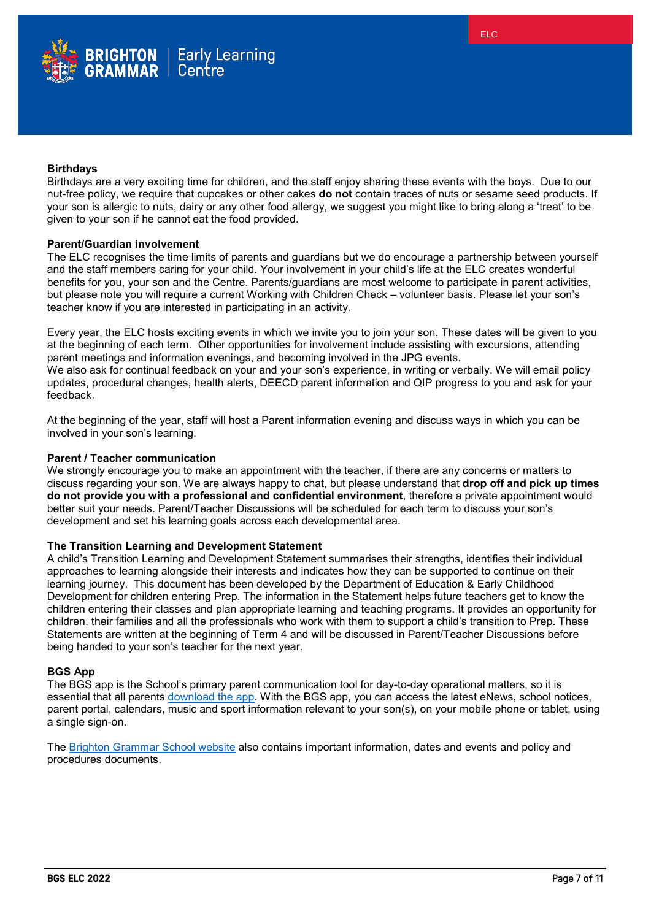

# **Birthdays**

Birthdays are a very exciting time for children, and the staff enjoy sharing these events with the boys. Due to our nut-free policy, we require that cupcakes or other cakes **do not** contain traces of nuts or sesame seed products. If your son is allergic to nuts, dairy or any other food allergy, we suggest you might like to bring along a 'treat' to be given to your son if he cannot eat the food provided.

## **Parent/Guardian involvement**

The ELC recognises the time limits of parents and guardians but we do encourage a partnership between yourself and the staff members caring for your child. Your involvement in your child's life at the ELC creates wonderful benefits for you, your son and the Centre. Parents/guardians are most welcome to participate in parent activities, but please note you will require a current Working with Children Check – volunteer basis. Please let your son's teacher know if you are interested in participating in an activity.

Every year, the ELC hosts exciting events in which we invite you to join your son. These dates will be given to you at the beginning of each term. Other opportunities for involvement include assisting with excursions, attending parent meetings and information evenings, and becoming involved in the JPG events.

We also ask for continual feedback on your and your son's experience, in writing or verbally. We will email policy updates, procedural changes, health alerts, DEECD parent information and QIP progress to you and ask for your feedback.

At the beginning of the year, staff will host a Parent information evening and discuss ways in which you can be involved in your son's learning.

#### **Parent / Teacher communication**

We strongly encourage you to make an appointment with the teacher, if there are any concerns or matters to discuss regarding your son. We are always happy to chat, but please understand that **drop off and pick up times do not provide you with a professional and confidential environment**, therefore a private appointment would better suit your needs. Parent/Teacher Discussions will be scheduled for each term to discuss your son's development and set his learning goals across each developmental area.

## **The Transition Learning and Development Statement**

A child's Transition Learning and Development Statement summarises their strengths, identifies their individual approaches to learning alongside their interests and indicates how they can be supported to continue on their learning journey. This document has been developed by the Department of Education & Early Childhood Development for children entering Prep. The information in the Statement helps future teachers get to know the children entering their classes and plan appropriate learning and teaching programs. It provides an opportunity for children, their families and all the professionals who work with them to support a child's transition to Prep. These Statements are written at the beginning of Term 4 and will be discussed in Parent/Teacher Discussions before being handed to your son's teacher for the next year.

#### **BGS App**

The BGS app is the School's primary parent communication tool for day-to-day operational matters, so it is essential that all parents [download the app.](https://www.brightongrammar.vic.edu.au/current-parents/bgs-app/) With the BGS app, you can access the latest eNews, school notices, parent portal, calendars, music and sport information relevant to your son(s), on your mobile phone or tablet, using a single sign-on.

The [Brighton Grammar School website](http://www.brightongrammar.vic.edu.au/) also contains important information, dates and events and policy and procedures documents.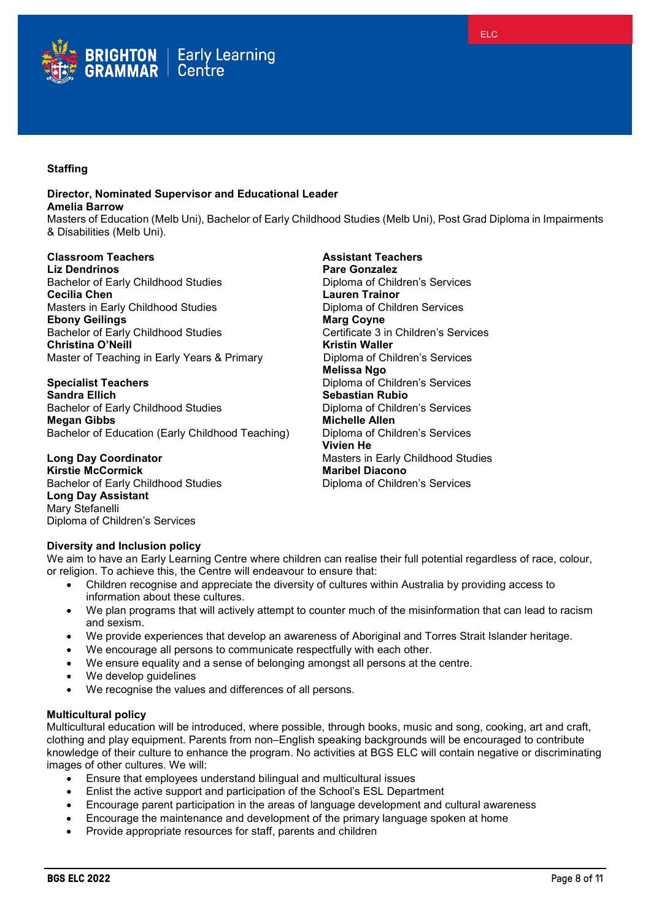

# **Staffing**

## **Director, Nominated Supervisor and Educational Leader Amelia Barrow**

Masters of Education (Melb Uni), Bachelor of Early Childhood Studies (Melb Uni), Post Grad Diploma in Impairments & Disabilities (Melb Uni).

# **Classroom Teachers Assistant Teachers**

**Liz Dendrinos**<br> **Pare Gonzalez**<br> **Pachelor of Early Childhood Studies**<br> **Pare Gonzalez**<br> **Pare Gonzalez** Bachelor of Early Childhood Studies **Cecilia Chen Lauren Trainor** Masters in Early Childhood Studies **Diploma of Community**<br> **Ebony Geilings** Community Community Community Community Community Community Community Community Community Community **Ebony Geilings**<br> **Ebony Geilings**<br> **Eachelor of Early Childhood Studies**<br> **Eachelor of Early Childhood Studies**<br> **Certificate 3 in Children's Services** Bachelor of Early Childhood Studies Certificate 3 in<br>
Christina O'Neill<br>
Christina O'Neill **Christina O'Neill**<br> **Christin Waller**<br>
Master of Teaching in Early Years & Primary<br>
Diploma of Children's Services Master of Teaching in Early Years & Primary

## **Specialist Teachers Diploma of Children's Services Sandra Ellich Sebastian Rubio** Bachelor of Early Childhood Studies **Diploma of Children's Services Megan Gibbs Michelle Allen**<br>Bachelor of Education (Early Childhood Teaching) **Michelle Allen Children's Services** Bachelor of Education (Early Childhood Teaching)

**Long Day Coordinator Masters in Early Childhood Studies**<br> **Kirstie McCormick**<br> **Maribel Diacono Kirstie McCormick**<br> **Maribel Diacono**<br> **Maribel Diacono**<br>
Diploma of Children's Services Bachelor of Early Childhood Studies **Long Day Assistant** Mary Stefanelli Diploma of Children's Services

**Melissa Ngo Vivien He**

# **Diversity and Inclusion policy**

We aim to have an Early Learning Centre where children can realise their full potential regardless of race, colour, or religion. To achieve this, the Centre will endeavour to ensure that:

- Children recognise and appreciate the diversity of cultures within Australia by providing access to information about these cultures.
- We plan programs that will actively attempt to counter much of the misinformation that can lead to racism and sexism.
- We provide experiences that develop an awareness of Aboriginal and Torres Strait Islander heritage.
- We encourage all persons to communicate respectfully with each other.
- We ensure equality and a sense of belonging amongst all persons at the centre.
- We develop quidelines
- We recognise the values and differences of all persons.

# **Multicultural policy**

Multicultural education will be introduced, where possible, through books, music and song, cooking, art and craft, clothing and play equipment. Parents from non–English speaking backgrounds will be encouraged to contribute knowledge of their culture to enhance the program. No activities at BGS ELC will contain negative or discriminating images of other cultures. We will:

- Ensure that employees understand bilingual and multicultural issues
- Enlist the active support and participation of the School's ESL Department
- Encourage parent participation in the areas of language development and cultural awareness
- Encourage the maintenance and development of the primary language spoken at home
- Provide appropriate resources for staff, parents and children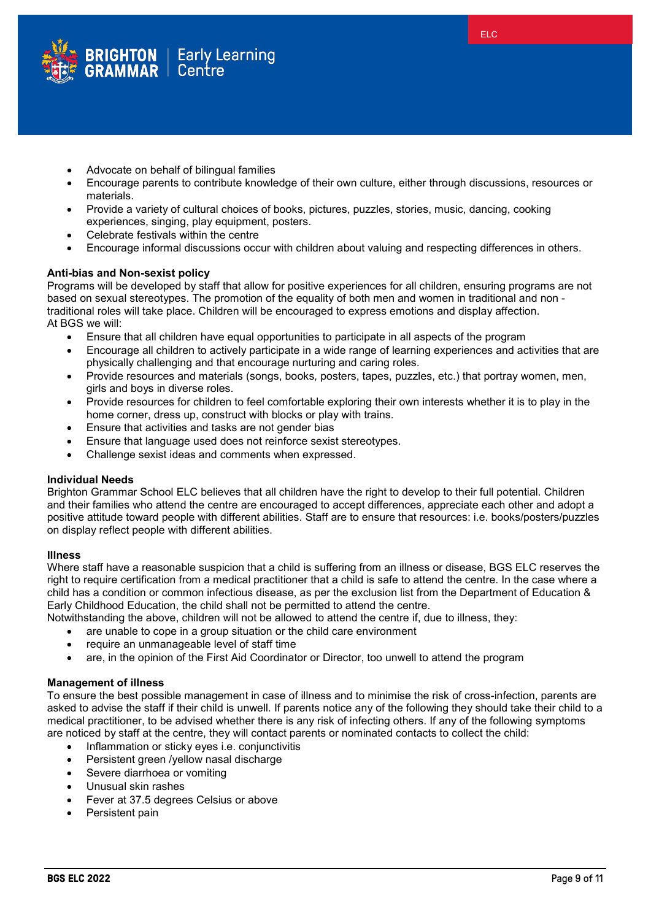

- Advocate on behalf of bilingual families
- Encourage parents to contribute knowledge of their own culture, either through discussions, resources or materials.
- Provide a variety of cultural choices of books, pictures, puzzles, stories, music, dancing, cooking experiences, singing, play equipment, posters.
- Celebrate festivals within the centre
- Encourage informal discussions occur with children about valuing and respecting differences in others.

## **Anti-bias and Non-sexist policy**

Programs will be developed by staff that allow for positive experiences for all children, ensuring programs are not based on sexual stereotypes. The promotion of the equality of both men and women in traditional and non traditional roles will take place. Children will be encouraged to express emotions and display affection. At BGS we will:

- Ensure that all children have equal opportunities to participate in all aspects of the program
- Encourage all children to actively participate in a wide range of learning experiences and activities that are physically challenging and that encourage nurturing and caring roles.
- Provide resources and materials (songs, books*,* posters, tapes, puzzles, etc.) that portray women, men, girls and boys in diverse roles.
- Provide resources for children to feel comfortable exploring their own interests whether it is to play in the home corner, dress up, construct with blocks or play with trains.
- Ensure that activities and tasks are not gender bias
- Ensure that language used does not reinforce sexist stereotypes.
- Challenge sexist ideas and comments when expressed.

## **Individual Needs**

Brighton Grammar School ELC believes that all children have the right to develop to their full potential. Children and their families who attend the centre are encouraged to accept differences, appreciate each other and adopt a positive attitude toward people with different abilities. Staff are to ensure that resources: i.e. books/posters/puzzles on display reflect people with different abilities.

## **Illness**

Where staff have a reasonable suspicion that a child is suffering from an illness or disease, BGS ELC reserves the right to require certification from a medical practitioner that a child is safe to attend the centre. In the case where a child has a condition or common infectious disease, as per the exclusion list from the Department of Education & Early Childhood Education, the child shall not be permitted to attend the centre.

Notwithstanding the above, children will not be allowed to attend the centre if, due to illness, they:

- are unable to cope in a group situation or the child care environment
- require an unmanageable level of staff time
- are, in the opinion of the First Aid Coordinator or Director, too unwell to attend the program

## **Management of illness**

To ensure the best possible management in case of illness and to minimise the risk of cross-infection, parents are asked to advise the staff if their child is unwell. If parents notice any of the following they should take their child to a medical practitioner, to be advised whether there is any risk of infecting others. If any of the following symptoms are noticed by staff at the centre, they will contact parents or nominated contacts to collect the child:

- Inflammation or sticky eyes i.e. conjunctivitis
- Persistent green /yellow nasal discharge
- Severe diarrhoea or vomiting
- Unusual skin rashes
- Fever at 37.5 degrees Celsius or above
- Persistent pain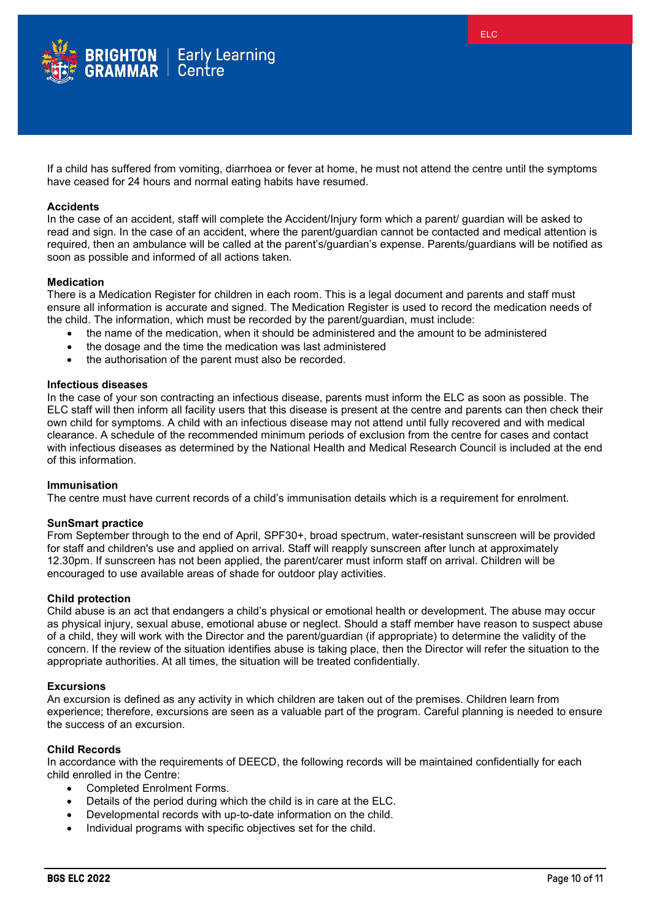

If a child has suffered from vomiting, diarrhoea or fever at home, he must not attend the centre until the symptoms have ceased for 24 hours and normal eating habits have resumed.

## **Accidents**

In the case of an accident, staff will complete the Accident/Injury form which a parent/ guardian will be asked to read and sign. In the case of an accident, where the parent/guardian cannot be contacted and medical attention is required, then an ambulance will be called at the parent's/guardian's expense. Parents/guardians will be notified as soon as possible and informed of all actions taken.

#### **Medication**

There is a Medication Register for children in each room. This is a legal document and parents and staff must ensure all information is accurate and signed. The Medication Register is used to record the medication needs of the child. The information, which must be recorded by the parent/guardian, must include:

- the name of the medication, when it should be administered and the amount to be administered
- the dosage and the time the medication was last administered
- the authorisation of the parent must also be recorded.

## **Infectious diseases**

In the case of your son contracting an infectious disease, parents must inform the ELC as soon as possible. The ELC staff will then inform all facility users that this disease is present at the centre and parents can then check their own child for symptoms. A child with an infectious disease may not attend until fully recovered and with medical clearance. A schedule of the recommended minimum periods of exclusion from the centre for cases and contact with infectious diseases as determined by the National Health and Medical Research Council is included at the end of this information.

# **Immunisation**

The centre must have current records of a child's immunisation details which is a requirement for enrolment.

#### **SunSmart practice**

From September through to the end of April, SPF30+, broad spectrum, water-resistant sunscreen will be provided for staff and children's use and applied on arrival. Staff will reapply sunscreen after lunch at approximately 12.30pm. If sunscreen has not been applied, the parent/carer must inform staff on arrival. Children will be encouraged to use available areas of shade for outdoor play activities.

### **Child protection**

Child abuse is an act that endangers a child's physical or emotional health or development. The abuse may occur as physical injury, sexual abuse, emotional abuse or neglect. Should a staff member have reason to suspect abuse of a child, they will work with the Director and the parent/guardian (if appropriate) to determine the validity of the concern. If the review of the situation identifies abuse is taking place, then the Director will refer the situation to the appropriate authorities. At all times, the situation will be treated confidentially.

#### **Excursions**

An excursion is defined as any activity in which children are taken out of the premises. Children learn from experience; therefore, excursions are seen as a valuable part of the program. Careful planning is needed to ensure the success of an excursion.

## **Child Records**

In accordance with the requirements of DEECD, the following records will be maintained confidentially for each child enrolled in the Centre:

- Completed Enrolment Forms.
- Details of the period during which the child is in care at the ELC.
- Developmental records with up-to-date information on the child.
- Individual programs with specific objectives set for the child.